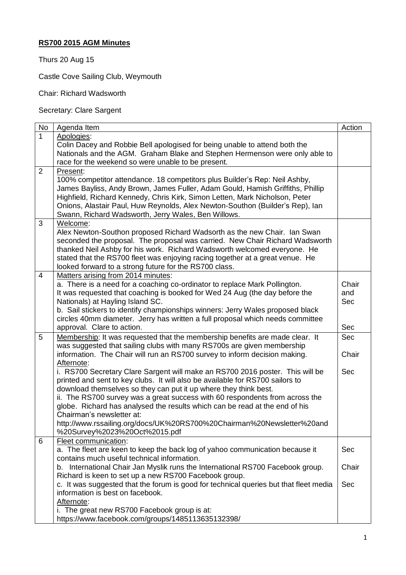## **RS700 2015 AGM Minutes**

Thurs 20 Aug 15

Castle Cove Sailing Club, Weymouth

Chair: Richard Wadsworth

Secretary: Clare Sargent

| No             | Agenda Item                                                                           | Action     |
|----------------|---------------------------------------------------------------------------------------|------------|
| $\overline{1}$ | Apologies:                                                                            |            |
|                | Colin Dacey and Robbie Bell apologised for being unable to attend both the            |            |
|                | Nationals and the AGM. Graham Blake and Stephen Hermenson were only able to           |            |
|                | race for the weekend so were unable to be present.                                    |            |
| $\overline{2}$ | Present:                                                                              |            |
|                | 100% competitor attendance. 18 competitors plus Builder's Rep: Neil Ashby,            |            |
|                | James Bayliss, Andy Brown, James Fuller, Adam Gould, Hamish Griffiths, Phillip        |            |
|                | Highfield, Richard Kennedy, Chris Kirk, Simon Letten, Mark Nicholson, Peter           |            |
|                | Onions, Alastair Paul, Huw Reynolds, Alex Newton-Southon (Builder's Rep), Ian         |            |
|                | Swann, Richard Wadsworth, Jerry Wales, Ben Willows.                                   |            |
| 3              | Welcome:                                                                              |            |
|                | Alex Newton-Southon proposed Richard Wadsorth as the new Chair. Ian Swan              |            |
|                | seconded the proposal. The proposal was carried. New Chair Richard Wadsworth          |            |
|                | thanked Neil Ashby for his work. Richard Wadsworth welcomed everyone. He              |            |
|                | stated that the RS700 fleet was enjoying racing together at a great venue. He         |            |
|                | looked forward to a strong future for the RS700 class.                                |            |
| $\overline{4}$ | Matters arising from 2014 minutes:                                                    |            |
|                | a. There is a need for a coaching co-ordinator to replace Mark Pollington.            | Chair      |
|                | It was requested that coaching is booked for Wed 24 Aug (the day before the           | and        |
|                | Nationals) at Hayling Island SC.                                                      | <b>Sec</b> |
|                | b. Sail stickers to identify championships winners: Jerry Wales proposed black        |            |
|                | circles 40mm diameter. Jerry has written a full proposal which needs committee        |            |
|                | approval. Clare to action.                                                            | Sec        |
|                |                                                                                       |            |
| 5              | Membership: It was requested that the membership benefits are made clear. It          | <b>Sec</b> |
|                | was suggested that sailing clubs with many RS700s are given membership                |            |
|                | information. The Chair will run an RS700 survey to inform decision making.            | Chair      |
|                | Afternote:                                                                            |            |
|                | i. RS700 Secretary Clare Sargent will make an RS700 2016 poster. This will be         | Sec        |
|                | printed and sent to key clubs. It will also be available for RS700 sailors to         |            |
|                | download themselves so they can put it up where they think best.                      |            |
|                | ii. The RS700 survey was a great success with 60 respondents from across the          |            |
|                | globe. Richard has analysed the results which can be read at the end of his           |            |
|                | Chairman's newsletter at:                                                             |            |
|                | http://www.rssailing.org/docs/UK%20RS700%20Chairman%20Newsletter%20and                |            |
|                | %20Survey%2023%20Oct%2015.pdf                                                         |            |
| 6              | Fleet communication:                                                                  |            |
|                | a. The fleet are keen to keep the back log of yahoo communication because it          | Sec        |
|                | contains much useful technical information.                                           |            |
|                | b. International Chair Jan Myslik runs the International RS700 Facebook group.        | Chair      |
|                | Richard is keen to set up a new RS700 Facebook group.                                 |            |
|                | c. It was suggested that the forum is good for technical queries but that fleet media | Sec        |
|                | information is best on facebook.                                                      |            |
|                | Afternote:                                                                            |            |
|                | i. The great new RS700 Facebook group is at:                                          |            |
|                | https://www.facebook.com/groups/1485113635132398/                                     |            |